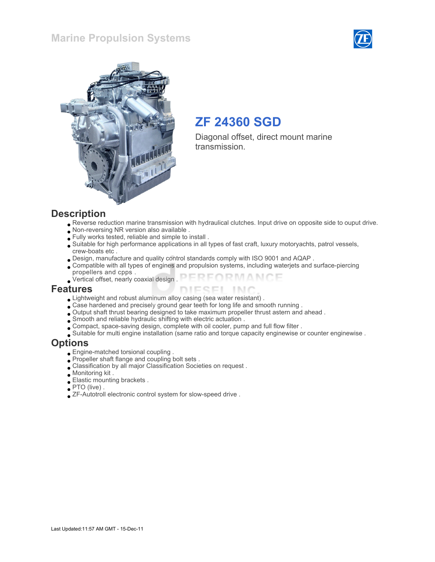### Marine Propulsion Systems





# ZF 24360 SGD

Diagonal offset, direct mount marine transmission.

#### **Description**

- Reverse reduction marine transmission with hydraulical clutches. Input drive on opposite side to ouput drive.
- Non-reversing NR version also available .
- Fully works tested, reliable and simple to install .
- Suitable for high performance applications in all types of fast craft, luxury motoryachts, patrol vessels, crew-boats etc .
- Design, manufacture and quality control standards comply with ISO 9001 and AQAP .
- Compatible with all types of engines and propulsion systems, including waterjets and surface-piercing propellers and cpps .
- FORMANCE Vertical offset, nearly coaxial design .

#### Features

- Lightweight and robust aluminum alloy casing (sea water resistant) .
- Case hardened and precisely ground gear teeth for long life and smooth running .
- Output shaft thrust bearing designed to take maximum propeller thrust astern and ahead .
- Smooth and reliable hydraulic shifting with electric actuation .
- Compact, space-saving design, complete with oil cooler, pump and full flow filter .
- Suitable for multi engine installation (same ratio and torque capacity enginewise or counter enginewise .

#### **Options**

- Engine-matched torsional coupling .
- Propeller shaft flange and coupling bolt sets .
- Classification by all major Classification Societies on request .
- Monitoring kit .
- Elastic mounting brackets .
- PTO (live) .
- ZF-Autotroll electronic control system for slow-speed drive .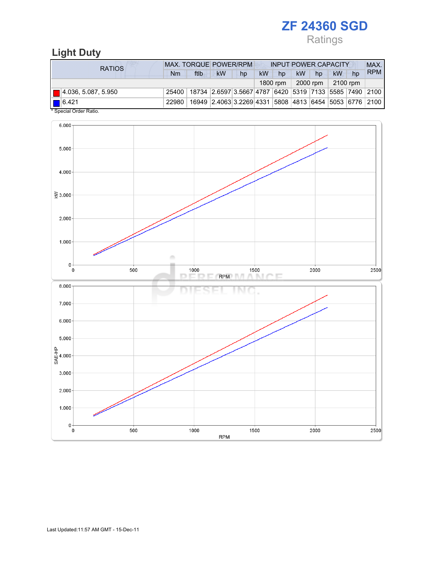Ratings

# Light Duty

| <b>RATIOS</b>                      | MAX. TORQUE POWER/RPM<br><b>INPUT POWER CAPACITY</b> |                                                                                  |                                                        |    |           |          |    |                       |    |    | MAX.       |  |
|------------------------------------|------------------------------------------------------|----------------------------------------------------------------------------------|--------------------------------------------------------|----|-----------|----------|----|-----------------------|----|----|------------|--|
|                                    | Nm                                                   | ftlb                                                                             | <b>kW</b>                                              | hp | <b>kW</b> | hp       | kW | hp                    | kW | hp | <b>RPM</b> |  |
|                                    |                                                      |                                                                                  |                                                        |    |           | 1800 rpm |    | $2000$ rpm   2100 rpm |    |    |            |  |
| $\blacksquare$ 4.036, 5.087, 5.950 |                                                      | 25400   18734   2.6597   3.5667   4787   6420   5319   7133   5585   7490   2100 |                                                        |    |           |          |    |                       |    |    |            |  |
| $\bigcap$ 6.421                    | 22980                                                |                                                                                  | 16949 2.4063 3.2269 4331 5808 4813 6454 5053 6776 2100 |    |           |          |    |                       |    |    |            |  |
| * Special Order Ratio.             |                                                      |                                                                                  |                                                        |    |           |          |    |                       |    |    |            |  |

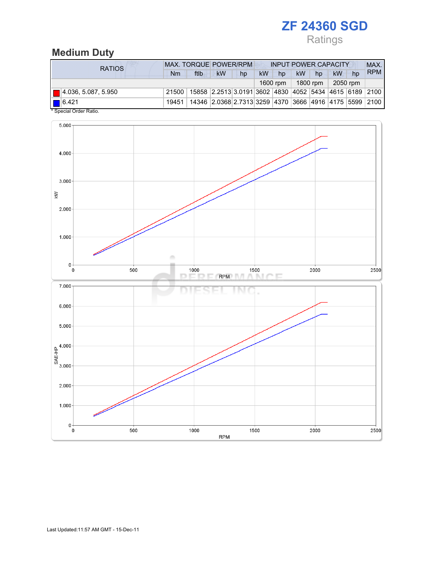# Ratings

# Medium Duty

| <b>RATIOS</b>                      | <b>MAX. TORQUE POWER/RPM</b><br><b>INPUT POWER CAPACITY</b> |      |                                                        |    |    |          |           |          |          |    |            |
|------------------------------------|-------------------------------------------------------------|------|--------------------------------------------------------|----|----|----------|-----------|----------|----------|----|------------|
|                                    | Nm                                                          | ftlb | kW                                                     | hp | kW | hp       | <b>kW</b> | hp       | kW       | hp | <b>RPM</b> |
|                                    |                                                             |      |                                                        |    |    | 1600 rpm |           | 1800 rpm | 2050 rpm |    |            |
| $\blacksquare$ 4.036, 5.087, 5.950 | 21500                                                       |      | 15858 2.2513 3.0191 3602 4830 4052 5434 4615 6189 2100 |    |    |          |           |          |          |    |            |
| $\boxed{\blacksquare}$ 6.421       | 19451                                                       |      | 14346 2.0368 2.7313 3259 4370 3666 4916 4175 5599 2100 |    |    |          |           |          |          |    |            |
| * Special Order Ratio.             |                                                             |      |                                                        |    |    |          |           |          |          |    |            |

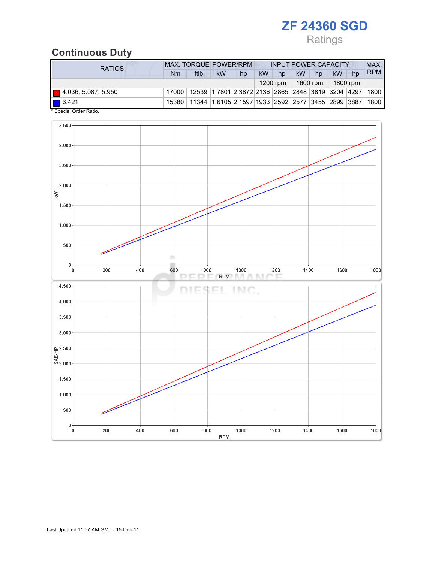# Ratings

## Continuous Duty

| RATIOS                             | <b>MAX. TORQUE POWER/RPM</b><br><b>INPUT POWER CAPACITY</b> |                                                                                  |           |    |    |          |           |                      |          |    | MAX.       |
|------------------------------------|-------------------------------------------------------------|----------------------------------------------------------------------------------|-----------|----|----|----------|-----------|----------------------|----------|----|------------|
|                                    | Nm                                                          | ftlb                                                                             | <b>kW</b> | hp | kW | hp       | <b>kW</b> | hp                   | kW       | hp | <b>RPM</b> |
|                                    |                                                             |                                                                                  |           |    |    | 1200 rpm |           | 1600 rpm $\parallel$ | 1800 rpm |    |            |
| $\blacksquare$ 4.036, 5.087, 5.950 |                                                             | 17000   12539   1.7801   2.3872   2136   2865   2848   3819   3204   4297   1800 |           |    |    |          |           |                      |          |    |            |
| $\bigcap$ 6.421                    |                                                             | 15380   11344   1.6105   2.1597   1933   2592   2577   3455   2899   3887        |           |    |    |          |           |                      |          |    | 1800       |
| * Special Order Ratio.             |                                                             |                                                                                  |           |    |    |          |           |                      |          |    |            |

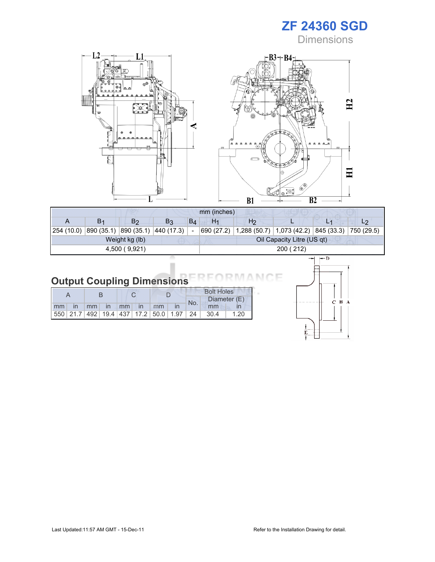**Dimensions** 



| mm (inches)   |                |                                  |                |       |                |                |                                                                                 |  |
|---------------|----------------|----------------------------------|----------------|-------|----------------|----------------|---------------------------------------------------------------------------------|--|
|               | B <sub>1</sub> | B <sub>2</sub>                   | B <sub>3</sub> | $B_4$ | H <sub>1</sub> | H <sub>2</sub> |                                                                                 |  |
| 254 (10.0)    |                | 890 (35.1) 890 (35.1) 440 (17.3) |                |       | 690 (27.2)     |                | $\vert$ 1,288 (50.7) $\vert$ 1,073 (42.2) $\vert$ 845 (33.3) $\vert$ 750 (29.5) |  |
|               |                | Weight kg (lb)                   |                |       |                |                | Oil Capacity Litre (US qt)                                                      |  |
| 4,500 (9,921) |                |                                  |                |       |                |                | 200 (212)                                                                       |  |

#### ANCE Output Coupling Dimensions **RM**

|       |  |  |                |  |     | <b>Bolt Holes</b>                                              |              |  |  |
|-------|--|--|----------------|--|-----|----------------------------------------------------------------|--------------|--|--|
|       |  |  |                |  | No. |                                                                | Diameter (E) |  |  |
| mm in |  |  | mm in mm in mm |  |     | mm                                                             |              |  |  |
|       |  |  |                |  |     | 550   21.7   492   19.4   437   17.2   50.0   1.97   24   30.4 | 1.20         |  |  |